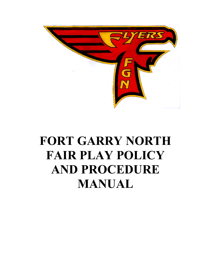

# **FORT GARRY NORTH FAIR PLAY POLICY AND PROCEDURE MANUAL**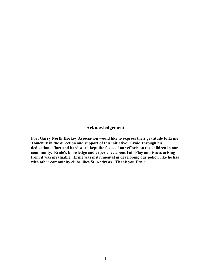#### **Acknowledgement**

**Fort Garry North Hockey Association would like to express their gratitude to Ernie Tomchuk in the direction and support of this initiative. Ernie, through his dedication, effort and hard work kept the focus of our efforts on the children in our community. Ernie's knowledge and experience about Fair Play and issues arising from it was invaluable. Ernie was instrumental in developing our policy, like he has with other community clubs likes St. Andrews. Thank you Ernie!**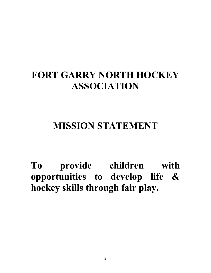## **FORT GARRY NORTH HOCKEY ASSOCIATION**

## **MISSION STATEMENT**

**To provide children with opportunities to develop life & hockey skills through fair play.**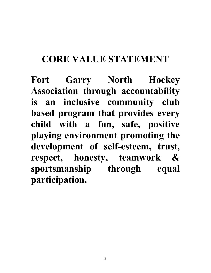## **CORE VALUE STATEMENT**

**Fort Garry North Hockey Association through accountability is an inclusive community club based program that provides every child with a fun, safe, positive playing environment promoting the development of self-esteem, trust, respect, honesty, teamwork & sportsmanship through equal participation.**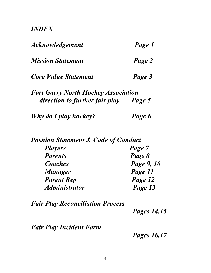#### *INDEX*

| <i><b>Acknowledgement</b></i>              | Page 1 |
|--------------------------------------------|--------|
| <b>Mission Statement</b>                   | Page 2 |
| <b>Core Value Statement</b>                | Page 3 |
| <b>Fort Garry North Hockey Association</b> |        |
| direction to further fair play             | Page 5 |
| Why do I play hockey?                      | Page 6 |

| <b>Position Statement &amp; Code of Conduct</b> |            |
|-------------------------------------------------|------------|
| <b>Players</b>                                  | Page 7     |
| <b>Parents</b>                                  | Page 8     |
| Coaches                                         | Page 9, 10 |
| <b>Manager</b>                                  | Page 11    |
| <b>Parent Rep</b>                               | Page 12    |
| <b>Administrator</b>                            | Page 13    |

*Fair Play Reconciliation Process* 

 *Pages 14,15* 

*Fair Play Incident Form* 

 *Pages 16,17*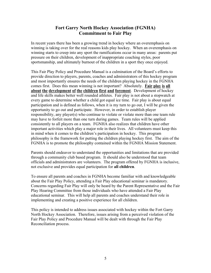#### **Fort Garry North Hockey Association (FGNHA) Commitment to Fair Play**

In recent years there has been a growing trend in hockey where an overemphasis on winning is taking over for the real reasons kids play hockey. When an overemphasis on winning starts to creep into any sport the ramifications occur in many areas: parents put pressure on their children, development of inappropriate coaching styles, poor sportsmanship, and ultimately burnout of the children in a sport they once enjoyed.

This Fair Play Policy and Procedure Manual is a culmination of the Board's efforts to provide direction to players, parents, coaches and administrators of this hockey program and most importantly ensures the needs of the children playing hockey in the FGNHA comes first. Does this mean winning is not important? Absolutely. **Fair play is all about the development of the children first and foremost**. Development of hockey and life skills makes better well rounded athletes. Fair play is not about a stopwatch at every game to determine whether a child got equal ice time. Fair play is about equal participation and is defined as follows, when it is my turn to go out, I will be given the opportunity to go out and participate. However, in order to establish player responsibility, any player(s) who continue to violate or violate more than one team rule may have to forfeit more than one turn during games. Team rules will be applied consistently to all players on a team. FGNHA also realizes that children have other important activities which play a major role in their lives. All volunteers must keep this in mind when it comes to the children's participation in hockey. This program philosophy is the framework for putting the children playing hockey first. The aim of the FGNHA is to promote the philosophy contained within the FGNHA Mission Statement.

Parents should endeavor to understand the opportunities and limitations that are provided through a community club based program. It should also be understood that team officials and administrators are volunteers. The program offered by FGNHA is inclusive, not exclusive and provides equal participation for **all children**.

To ensure all parents and coaches in FGNHA become familiar with and knowledgeable about the Fair Play Policy, attending a Fair Play educational seminar is mandatory. Concerns regarding Fair Play will only be heard by the Parent Representative and the Fair Play Hearing Committee from those individuals who have attended a Fair Play educational seminar. This will help all parents and coaches understand their role in implementing and creating a positive experience for all children.

This policy is intended to address issues associated with hockey within the Fort Garry North Hockey Association. Therefore, issues arising from a perceived violation of the Fair Play Policy and Procedure Manual will be dealt with through the Fair Play Reconciliation process.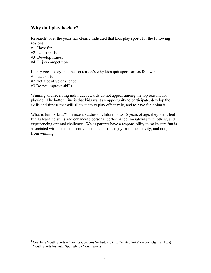#### **Why do I play hockey?**

Research<sup>1</sup> over the years has clearly indicated that kids play sports for the following reasons:

- #1 Have fun
- #2 Learn skills
- #3 Develop fitness
- #4 Enjoy competition

It only goes to say that the top reason's why kids quit sports are as follows:

- #1 Lack of fun
- #2 Not a positive challenge
- #3 Do not improve skills

Winning and receiving individual awards do not appear among the top reasons for playing. The bottom line is that kids want an opportunity to participate, develop the skills and fitness that will allow them to play effectively, and to have fun doing it.

What is fun for kids?<sup>2</sup> In recent studies of children 8 to 15 years of age, they identified fun as learning skills and enhancing personal performance, socializing with others, and experiencing optimal challenge. We as parents have a responsibility to make sure fun is associated with personal improvement and intrinsic joy from the activity, and not just from winning.

<sup>&</sup>lt;sup>1</sup> Coaching Youth Sports – Coaches Concerns Website (refer to "related links" on www.fgnha.mb.ca)

<sup>&</sup>lt;sup>2</sup> Youth Sports Institute, Spotlight on Youth Sports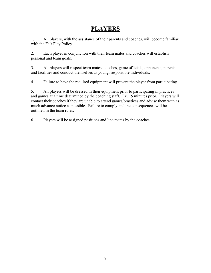### **PLAYERS**

1. All players, with the assistance of their parents and coaches, will become familiar with the Fair Play Policy.

2. Each player in conjunction with their team mates and coaches will establish personal and team goals.

3. All players will respect team mates, coaches, game officials, opponents, parents and facilities and conduct themselves as young, responsible individuals.

4. Failure to have the required equipment will prevent the player from participating.

5. All players will be dressed in their equipment prior to participating in practices and games at a time determined by the coaching staff. Ex. 15 minutes prior. Players will contact their coaches if they are unable to attend games/practices and advise them with as much advance notice as possible. Failure to comply and the consequences will be outlined in the team rules.

6. Players will be assigned positions and line mates by the coaches.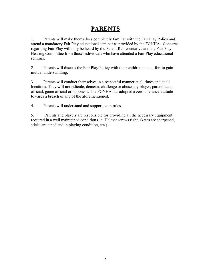#### **PARENTS**

1. Parents will make themselves completely familiar with the Fair Play Policy and attend a mandatory Fair Play educational seminar as provided by the FGNHA. Concerns regarding Fair Play will only be heard by the Parent Representative and the Fair Play Hearing Committee from those individuals who have attended a Fair Play educational seminar.

2. Parents will discuss the Fair Play Policy with their children in an effort to gain mutual understanding.

3. Parents will conduct themselves in a respectful manner at all times and at all locations. They will not ridicule, demean, challenge or abuse any player, parent, team official, game official or opponent. The FGNHA has adopted a zero tolerance attitude towards a breach of any of the aforementioned.

4. Parents will understand and support team rules.

5. Parents and players are responsible for providing all the necessary equipment required in a well maintained condition (i.e. Helmet screws tight, skates are sharpened, sticks are taped and in playing condition, etc.).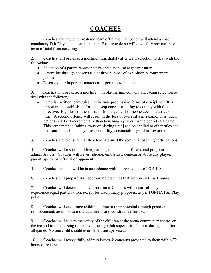## **COACHES**

1. Coaches and any other rostered team official on the bench will attend a coach's mandatory Fair Play educational seminar. Failure to do so will disqualify any coach or team official from coaching.

2. Coaches will organize a meeting immediately after team selection to deal with the following:

- Selection of a parent representative and a team manager/treasurer.
- Determine through consensus a desired number of exhibition & tournament games.
- Discuss other important matters as it pertains to the team.

3. Coaches will organize a meeting with players immediately after team selection to deal with the following:

• Establish written team rules that include progressive forms of discipline. (It is important to establish uniform consequences for failing to comply with this directive. E.g. loss of their first shift in a game if someone does not arrive on time. A second offence will result in the loss of two shifts in a game. It is much better to start off incrementally than benching a player for the period of a game. This same method [taking away of playing time] can be applied to other rules and is meant to teach the player responsibility, accountability and teamwork.)

3. Coaches are to ensure that they have attained the required coaching certifications.

4. Coaches will respect children, parents, opponents, officials, and program administrators. Coaches will never ridicule, embarrass, demean or abuse any player, parent, spectator, official or opponent.

5. Coaches conduct will be in accordance with the core values of FGNHA.

6. Coaches will prepare skill appropriate practices that are fun and challenging.

7. Coaches will determine player positions. Coaches will ensure all players experience equal participation, except for disciplinary purposes, as per FGNHA Fair Play policy.

8. Coaches will encourage children to rise to their potential through positive reinforcement, attention to individual needs and constructive feedback.

9. Coaches will ensure the safety of the children at the arena/community centre, on the ice and in the dressing rooms by ensuring adult supervision before, during and after all games. No one child should ever be left unsupervised.

10. Coaches will respectfully address issues  $\&$  concerns presented to them within 72 hours of receipt.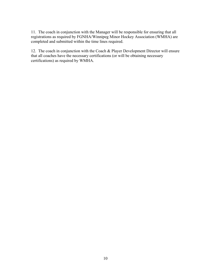11. The coach in conjunction with the Manager will be responsible for ensuring that all registrations as required by FGNHA/Winnipeg Minor Hockey Association (WMHA) are completed and submitted within the time lines required.

12. The coach in conjunction with the Coach & Player Development Director will ensure that all coaches have the necessary certifications (or will be obtaining necessary certifications) as required by WMHA.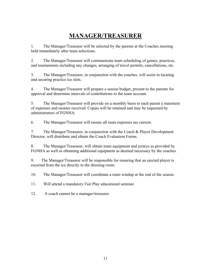### **MANAGER/TREASURER**

1. The Manager/Treasurer will be selected by the parents at the Coaches meeting held immediately after team selections.

2. The Manager/Treasurer will communicate team scheduling of games, practices, and tournaments including any changes, arranging of travel permits, cancellations, etc.

3. The Manager/Treasurer, in conjunction with the coaches, will assist in locating and securing practice ice slots.

4. The Manager/Treasurer will prepare a season budget, present to the parents for approval and determine intervals of contributions to the team account.

5. The Manager/Treasurer will provide on a monthly basis to each parent a statement of expenses and monies received. Copies will be retained and may be requested by administrators of FGNHA.

6. The Manager/Treasurer will ensure all team expenses are current.

7. The Manager/Treasurer, in conjunction with the Coach & Player Development Director, will distribute and obtain the Coach Evaluation Forms.

8. The Manager/Treasurer, will obtain team equipment and jerseys as provided by FGNHA as well as obtaining additional equipment as deemed necessary by the coaches.

9. The Manager/Treasurer will be responsible for ensuring that an ejected player is escorted from the ice directly to the dressing room.

10. The Manager/Treasurer will coordinate a team windup at the end of the season.

11. Will attend a mandatory Fair Play educational seminar.

12. A coach cannot be a manager/treasurer.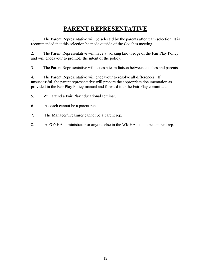## **PARENT REPRESENTATIVE**

1. The Parent Representative will be selected by the parents after team selection. It is recommended that this selection be made outside of the Coaches meeting.

2. The Parent Representative will have a working knowledge of the Fair Play Policy and will endeavour to promote the intent of the policy.

3. The Parent Representative will act as a team liaison between coaches and parents.

4. The Parent Representative will endeavour to resolve all differences. If unsuccessful, the parent representative will prepare the appropriate documentation as provided in the Fair Play Policy manual and forward it to the Fair Play committee.

5. Will attend a Fair Play educational seminar.

- 6. A coach cannot be a parent rep.
- 7. The Manager/Treasurer cannot be a parent rep.
- 8. A FGNHA administrator or anyone else in the WMHA cannot be a parent rep.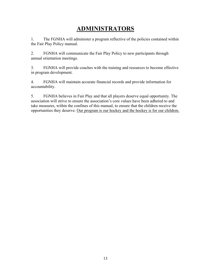## **ADMINISTRATORS**

1. The FGNHA will administer a program reflective of the policies contained within the Fair Play Policy manual.

2. FGNHA will communicate the Fair Play Policy to new participants through annual orientation meetings.

3. FGNHA will provide coaches with the training and resources to become effective in program development.

4. FGNHA will maintain accurate financial records and provide information for accountability.

5. FGNHA believes in Fair Play and that all players deserve equal opportunity. The association will strive to ensure the association's core values have been adhered to and take measures, within the confines of this manual, to ensure that the children receive the opportunities they deserve. Our program is our hockey and the hockey is for our children.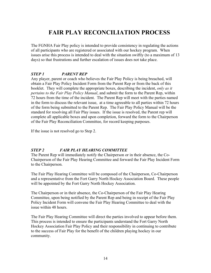## **FAIR PLAY RECONCILIATION PROCESS**

The FGNHA Fair Play policy is intended to provide consistency in regulating the actions of all participants who are registered or associated with our hockey program. When issues arise this process is intended to deal with the situation swiftly (to a maximum of 13 days) so that frustrations and further escalation of issues does not take place.

#### *STEP 1 PARENT REP*

Any player, parent or coach who believes the Fair Play Policy is being breached, will obtain a Fair Play Policy Incident Form from the Parent Rep or from the back of this booklet. They will complete the appropriate boxes, describing the incident, *only as it pertains to the Fair Play Policy Manual*, and submit the form to the Parent Rep, within 72 hours from the time of the incident. The Parent Rep will meet with the parties named in the form to discuss the relevant issue, at a time agreeable to all parties within 72 hours of the form being submitted to the Parent Rep. The Fair Play Policy Manual will be the standard for resolving all Fair Play issues. If the issue is resolved, the Parent rep will complete all applicable boxes and upon completion, forward the form to the Chairperson of the Fair Play Reconciliation Committee, for record keeping purposes.

If the issue is not resolved go to Step 2.

#### *STEP 2 FAIR PLAY HEARING COMMITTEE*

The Parent Rep will immediately notify the Chairperson or in their absence, the Co-Chairperson of the Fair Play Hearing Committee and forward the Fair Play Incident Form to the Chairperson.

The Fair Play Hearing Committee will be composed of the Chairperson, Co-Chairperson and a representative from the Fort Garry North Hockey Association Board. These people will be appointed by the Fort Garry North Hockey Association.

The Chairperson or in their absence, the Co-Chairperson of the Fair Play Hearing Committee, upon being notified by the Parent Rep and being in receipt of the Fair Play Policy Incident Form will convene the Fair Play Hearing Committee to deal with the issue within 48 hours.

The Fair Play Hearing Committee will direct the parties involved to appear before them. This process is intended to ensure the participants understand the Fort Garry North Hockey Association Fair Play Policy and their responsibility in continuing to contribute to the success of Fair Play for the benefit of the children playing hockey in our community.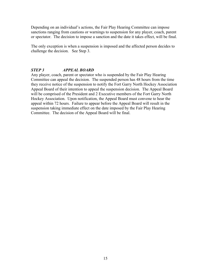Depending on an individual's actions, the Fair Play Hearing Committee can impose sanctions ranging from cautions or warnings to suspension for any player, coach, parent or spectator. The decision to impose a sanction and the date it takes effect, will be final.

The only exception is when a suspension is imposed and the affected person decides to challenge the decision. See Step 3.

#### *STEP 3 APPEAL BOARD*

Any player, coach, parent or spectator who is suspended by the Fair Play Hearing Committee can appeal the decision. The suspended person has 48 hours from the time they receive notice of the suspension to notify the Fort Garry North Hockey Association Appeal Board of their intention to appeal the suspension decision. The Appeal Board will be comprised of the President and 2 Executive members of the Fort Garry North Hockey Association. Upon notification, the Appeal Board must convene to hear the appeal within 72 hours. Failure to appear before the Appeal Board will result in the suspension taking immediate effect on the date imposed by the Fair Play Hearing Committee. The decision of the Appeal Board will be final.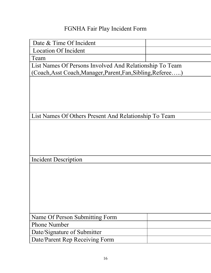## FGNHA Fair Play Incident Form

| Date & Time Of Incident                                     |  |  |
|-------------------------------------------------------------|--|--|
| <b>Location Of Incident</b>                                 |  |  |
| Team                                                        |  |  |
| List Names Of Persons Involved And Relationship To Team     |  |  |
| (Coach, Asst Coach, Manager, Parent, Fan, Sibling, Referee) |  |  |
|                                                             |  |  |
|                                                             |  |  |
|                                                             |  |  |
|                                                             |  |  |
|                                                             |  |  |
| List Names Of Others Present And Relationship To Team       |  |  |
|                                                             |  |  |
|                                                             |  |  |
|                                                             |  |  |
|                                                             |  |  |
|                                                             |  |  |
| Incident Description                                        |  |  |
|                                                             |  |  |
|                                                             |  |  |
|                                                             |  |  |
|                                                             |  |  |
|                                                             |  |  |
|                                                             |  |  |
|                                                             |  |  |
| Name Of Person Submitting Form                              |  |  |
| <b>Phone Number</b>                                         |  |  |
| Date/Signature of Submitter                                 |  |  |
| Date/Parent Rep Receiving Form                              |  |  |